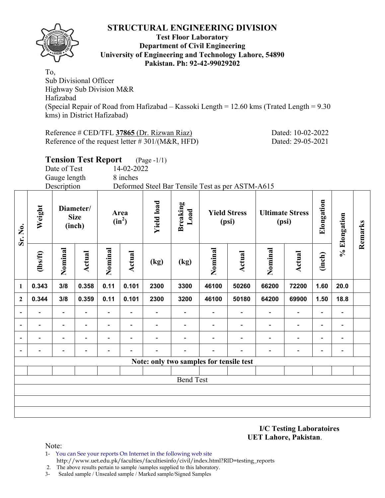

#### **Test Floor Laboratory Department of Civil Engineering University of Engineering and Technology Lahore, 54890 Pakistan. Ph: 92-42-99029202**

To, Sub Divisional Officer Highway Sub Division M&R Hafizabad (Special Repair of Road from Hafizabad – Kassoki Length = 12.60 kms (Trated Length = 9.30 kms) in District Hafizabad)

Reference # CED/TFL **37865** (Dr. Rizwan Riaz) Dated: 10-02-2022 Reference of the request letter # 301/(M&R, HFD) Dated: 29-05-2021

**Tension Test Report** (Page -1/1)

Date of Test 14-02-2022

Gauge length 8 inches

Description Deformed Steel Bar Tensile Test as per ASTM-A615

| Sr. No.                  | Weight                   |                          | Diameter/<br><b>Size</b><br>(inch) |                          | Area<br>$(in^2)$         | <b>Yield load</b>        | <b>Breaking</b><br>Load                 |                          | <b>Yield Stress</b><br>(psi) |                              | <b>Ultimate Stress</b><br>(psi) | Elongation               | % Elongation             | Remarks |
|--------------------------|--------------------------|--------------------------|------------------------------------|--------------------------|--------------------------|--------------------------|-----------------------------------------|--------------------------|------------------------------|------------------------------|---------------------------------|--------------------------|--------------------------|---------|
|                          | $\frac{2}{10}$           | Nominal                  | <b>Actual</b>                      | Nominal                  | Actual                   | (kg)                     | (kg)                                    | Nominal                  | <b>Actual</b>                | Nominal                      | <b>Actual</b>                   | (inch)                   |                          |         |
| 1                        | 0.343                    | 3/8                      | 0.358                              | 0.11                     | 0.101                    | 2300                     | 3300                                    | 46100                    | 50260                        | 66200                        | 72200                           | 1.60                     | 20.0                     |         |
| $\boldsymbol{2}$         | 0.344                    | 3/8                      | 0.359                              | 0.11                     | 0.101                    | 2300                     | 3200                                    | 46100                    | 50180                        | 64200                        | 69900                           | 1.50                     | 18.8                     |         |
| $\overline{\phantom{a}}$ | $\blacksquare$           | $\overline{\phantom{a}}$ | $\overline{\phantom{a}}$           | Ξ.                       | $\overline{\phantom{a}}$ | $\overline{\phantom{0}}$ | $\overline{\phantom{a}}$                | $\overline{\phantom{a}}$ | $\overline{\phantom{a}}$     | $\overline{\phantom{0}}$     | $\overline{\phantom{a}}$        | $\overline{\phantom{a}}$ | $\overline{\phantom{a}}$ |         |
|                          |                          | $\overline{\phantom{a}}$ | $\overline{\phantom{0}}$           | $\blacksquare$           | $\overline{\phantom{0}}$ |                          | $\blacksquare$                          | $\overline{\phantom{0}}$ | $\overline{\phantom{a}}$     | $\overline{\phantom{0}}$     | $\overline{\phantom{a}}$        | $\overline{\phantom{a}}$ | $\overline{\phantom{a}}$ |         |
| $\overline{\phantom{a}}$ | $\overline{\phantom{0}}$ | $\overline{\phantom{a}}$ | -                                  | $\overline{\phantom{0}}$ | $\blacksquare$           | -                        |                                         | $\overline{\phantom{0}}$ | $\overline{\phantom{0}}$     | $\qquad \qquad \blacksquare$ | $\overline{\phantom{a}}$        | $\blacksquare$           | $\overline{\phantom{a}}$ |         |
| $\overline{\phantom{a}}$ |                          | -                        | $\overline{\phantom{0}}$           | $\overline{\phantom{0}}$ | $\overline{\phantom{0}}$ |                          | $\overline{\phantom{0}}$                | $\overline{\phantom{0}}$ | $\overline{\phantom{0}}$     | $\overline{\phantom{0}}$     | $\overline{\phantom{a}}$        | $\blacksquare$           | $\blacksquare$           |         |
|                          |                          |                          |                                    |                          |                          |                          | Note: only two samples for tensile test |                          |                              |                              |                                 |                          |                          |         |
|                          |                          |                          |                                    |                          |                          |                          |                                         |                          |                              |                              |                                 |                          |                          |         |
|                          |                          |                          |                                    |                          |                          |                          | <b>Bend Test</b>                        |                          |                              |                              |                                 |                          |                          |         |
|                          |                          |                          |                                    |                          |                          |                          |                                         |                          |                              |                              |                                 |                          |                          |         |
|                          |                          |                          |                                    |                          |                          |                          |                                         |                          |                              |                              |                                 |                          |                          |         |
|                          |                          |                          |                                    |                          |                          |                          |                                         |                          |                              |                              |                                 |                          |                          |         |

**I/C Testing Laboratoires UET Lahore, Pakistan**.

- 1- You can See your reports On Internet in the following web site http://www.uet.edu.pk/faculties/facultiesinfo/civil/index.html?RID=testing\_reports
- 2. The above results pertain to sample /samples supplied to this laboratory.
- 3- Sealed sample / Unsealed sample / Marked sample/Signed Samples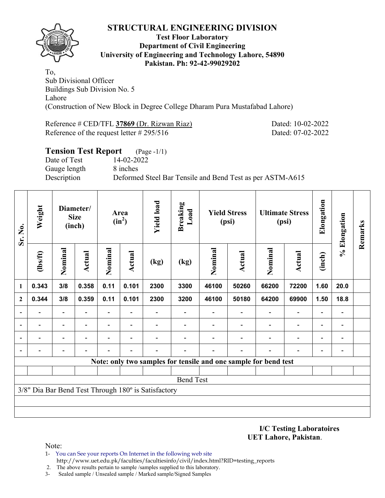

#### **Test Floor Laboratory Department of Civil Engineering University of Engineering and Technology Lahore, 54890 Pakistan. Ph: 92-42-99029202**

To, Sub Divisional Officer Buildings Sub Division No. 5 Lahore (Construction of New Block in Degree College Dharam Pura Mustafabad Lahore)

Reference # CED/TFL **37869** (Dr. Rizwan Riaz) Dated: 10-02-2022 Reference of the request letter # 295/516 Dated: 07-02-2022

| <b>Tension Test Report</b> | $(Page - 1/1)$                                            |
|----------------------------|-----------------------------------------------------------|
| Date of Test               | 14-02-2022                                                |
| Gauge length               | 8 inches                                                  |
| Description                | Deformed Steel Bar Tensile and Bend Test as per ASTM-A615 |

| Sr. No.                  | Weight   |                                                     | Diameter/<br><b>Size</b><br>(inch) |                          | Area<br>$(in^2)$         | <b>Yield load</b> | <b>Breaking</b><br>Load |                                                                 | <b>Yield Stress</b><br>(psi) |                          | <b>Ultimate Stress</b><br>(psi) | Elongation               | % Elongation                 | Remarks |
|--------------------------|----------|-----------------------------------------------------|------------------------------------|--------------------------|--------------------------|-------------------|-------------------------|-----------------------------------------------------------------|------------------------------|--------------------------|---------------------------------|--------------------------|------------------------------|---------|
|                          | (1bs/ft) | Nominal                                             | <b>Actual</b>                      | Nominal                  | Actual                   | (kg)              | (kg)                    | Nominal                                                         | Actual                       | Nominal                  | <b>Actual</b>                   | (inch)                   |                              |         |
| 1                        | 0.343    | 3/8                                                 | 0.358                              | 0.11                     | 0.101                    | 2300              | 3300                    | 46100                                                           | 50260                        | 66200                    | 72200                           | 1.60                     | 20.0                         |         |
| $\mathbf{2}$             | 0.344    | 3/8                                                 | 0.359                              | 0.11                     | 0.101                    | 2300              | 3200                    | 46100                                                           | 50180                        | 64200                    | 69900                           | 1.50                     | 18.8                         |         |
| $\overline{\phantom{0}}$ |          |                                                     |                                    | $\overline{\phantom{0}}$ |                          |                   |                         |                                                                 |                              |                          | $\qquad \qquad \blacksquare$    | $\overline{\phantom{a}}$ | $\overline{a}$               |         |
| ۰                        |          | $\overline{\phantom{0}}$                            |                                    | $\overline{\phantom{0}}$ | $\overline{\phantom{0}}$ |                   |                         |                                                                 |                              | $\overline{\phantom{0}}$ | $\qquad \qquad \blacksquare$    | $\overline{\phantom{a}}$ | $\qquad \qquad \blacksquare$ |         |
|                          |          | $\overline{\phantom{0}}$                            |                                    | -                        | $\blacksquare$           |                   |                         |                                                                 |                              |                          | $\qquad \qquad \blacksquare$    | $\overline{\phantom{a}}$ | $\overline{a}$               |         |
|                          |          |                                                     |                                    |                          |                          |                   |                         |                                                                 |                              |                          |                                 | $\overline{\phantom{0}}$ |                              |         |
|                          |          |                                                     |                                    |                          |                          |                   |                         | Note: only two samples for tensile and one sample for bend test |                              |                          |                                 |                          |                              |         |
|                          |          |                                                     |                                    |                          |                          |                   |                         |                                                                 |                              |                          |                                 |                          |                              |         |
|                          |          | 3/8" Dia Bar Bend Test Through 180° is Satisfactory |                                    |                          |                          | <b>Bend Test</b>  |                         |                                                                 |                              |                          |                                 |                          |                              |         |
|                          |          |                                                     |                                    |                          |                          |                   |                         |                                                                 |                              |                          |                                 |                          |                              |         |
|                          |          |                                                     |                                    |                          |                          |                   |                         |                                                                 |                              |                          |                                 |                          |                              |         |
|                          |          |                                                     |                                    |                          |                          |                   |                         |                                                                 |                              |                          |                                 |                          |                              |         |

**I/C Testing Laboratoires UET Lahore, Pakistan**.

- 1- You can See your reports On Internet in the following web site http://www.uet.edu.pk/faculties/facultiesinfo/civil/index.html?RID=testing\_reports
- 2. The above results pertain to sample /samples supplied to this laboratory.
- 3- Sealed sample / Unsealed sample / Marked sample/Signed Samples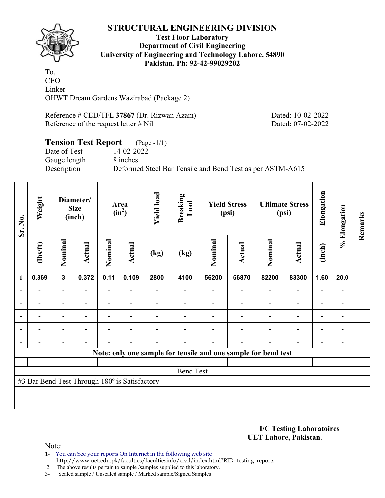**Test Floor Laboratory Department of Civil Engineering University of Engineering and Technology Lahore, 54890 Pakistan. Ph: 92-42-99029202** 

To, CEO Linker OHWT Dream Gardens Wazirabad (Package 2)

Reference # CED/TFL 37867 (Dr. Rizwan Azam) Dated: 10-02-2022 Reference of the request letter # Nil Dated: 07-02-2022

### **Tension Test Report** (Page -1/1) Date of Test 14-02-2022 Gauge length 8 inches Description Deformed Steel Bar Tensile and Bend Test as per ASTM-A615

| Sr. No.        | Weight                                        |                          | Diameter/<br><b>Size</b><br>(inch) |         | Area<br>$(in^2)$         | <b>Yield load</b> | <b>Breaking</b><br>Load |         | <b>Yield Stress</b><br>(psi)                                   |                          | <b>Ultimate Stress</b><br>(psi) | Elongation               | % Elongation   | Remarks |
|----------------|-----------------------------------------------|--------------------------|------------------------------------|---------|--------------------------|-------------------|-------------------------|---------|----------------------------------------------------------------|--------------------------|---------------------------------|--------------------------|----------------|---------|
|                | $\frac{2}{10}$                                | Nominal                  | Actual                             | Nominal | <b>Actual</b>            | (kg)              | (kg)                    | Nominal | Actual                                                         | Nominal                  | Actual                          | (inch)                   |                |         |
| 1              | 0.369                                         | $\mathbf{3}$             | 0.372                              | 0.11    | 0.109                    | 2800              | 4100                    | 56200   | 56870                                                          | 82200                    | 83300                           | 1.60                     | 20.0           |         |
|                |                                               | $\blacksquare$           |                                    |         |                          |                   |                         |         |                                                                |                          | $\overline{\phantom{0}}$        | $\overline{\phantom{0}}$ |                |         |
| $\blacksquare$ |                                               |                          |                                    |         |                          |                   |                         |         |                                                                |                          | $\overline{\phantom{0}}$        | $\overline{\phantom{0}}$ |                |         |
| $\blacksquare$ | $\blacksquare$                                | $\blacksquare$           | $\blacksquare$                     |         | $\blacksquare$           |                   |                         |         |                                                                |                          | $\overline{\phantom{a}}$        | $\overline{\phantom{a}}$ | $\blacksquare$ |         |
|                | ۰                                             | $\overline{\phantom{0}}$ | ۰                                  |         | $\overline{\phantom{0}}$ |                   |                         |         |                                                                |                          | $\overline{\phantom{0}}$        | $\overline{\phantom{a}}$ |                |         |
|                |                                               |                          | $\overline{a}$                     |         | $\overline{\phantom{0}}$ |                   |                         |         | $\overline{\phantom{0}}$                                       | $\overline{\phantom{0}}$ | $\qquad \qquad \blacksquare$    | $\overline{\phantom{a}}$ |                |         |
|                |                                               |                          |                                    |         |                          |                   |                         |         | Note: only one sample for tensile and one sample for bend test |                          |                                 |                          |                |         |
|                |                                               |                          |                                    |         |                          |                   |                         |         |                                                                |                          |                                 |                          |                |         |
|                |                                               |                          |                                    |         |                          |                   | <b>Bend Test</b>        |         |                                                                |                          |                                 |                          |                |         |
|                | #3 Bar Bend Test Through 180° is Satisfactory |                          |                                    |         |                          |                   |                         |         |                                                                |                          |                                 |                          |                |         |
|                |                                               |                          |                                    |         |                          |                   |                         |         |                                                                |                          |                                 |                          |                |         |
|                |                                               |                          |                                    |         |                          |                   |                         |         |                                                                |                          |                                 |                          |                |         |

**I/C Testing Laboratoires UET Lahore, Pakistan**.

Note:

1- You can See your reports On Internet in the following web site http://www.uet.edu.pk/faculties/facultiesinfo/civil/index.html?RID=testing\_reports

2. The above results pertain to sample /samples supplied to this laboratory.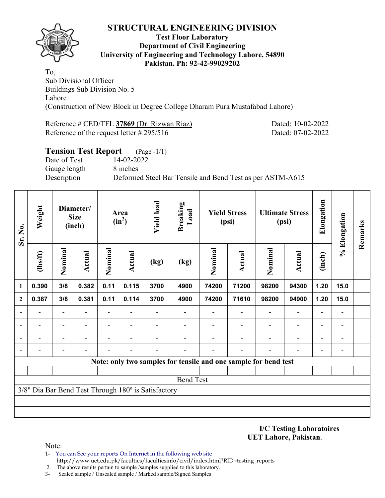

#### **Test Floor Laboratory Department of Civil Engineering University of Engineering and Technology Lahore, 54890 Pakistan. Ph: 92-42-99029202**

To, Sub Divisional Officer Buildings Sub Division No. 5 Lahore (Construction of New Block in Degree College Dharam Pura Mustafabad Lahore)

Reference # CED/TFL **37869** (Dr. Rizwan Riaz) Dated: 10-02-2022 Reference of the request letter # 295/516 Dated: 07-02-2022

| <b>Tension Test Report</b> (Page -1/1) |                                                           |
|----------------------------------------|-----------------------------------------------------------|
| Date of Test                           | 14-02-2022                                                |
| Gauge length                           | 8 inches                                                  |
| Description                            | Deformed Steel Bar Tensile and Bend Test as per ASTM-A615 |
|                                        |                                                           |

| Sr. No.        | Weight   |                                                     | Diameter/<br><b>Size</b><br>(inch) |                          | Area<br>$(in^2)$         | <b>Yield load</b> | <b>Breaking</b><br>Load |                                                                 | <b>Yield Stress</b><br>(psi) |                          | <b>Ultimate Stress</b><br>(psi) | Elongation               | % Elongation                 | Remarks |
|----------------|----------|-----------------------------------------------------|------------------------------------|--------------------------|--------------------------|-------------------|-------------------------|-----------------------------------------------------------------|------------------------------|--------------------------|---------------------------------|--------------------------|------------------------------|---------|
|                | (1bs/ft) | Nominal                                             | Nominal<br><b>Actual</b>           |                          | Actual<br>(kg)           |                   | (kg)                    | Nominal                                                         | Actual                       | Nominal                  | <b>Actual</b>                   | (inch)                   |                              |         |
| 1              | 0.390    | 3/8                                                 | 0.382                              | 0.11                     | 0.115                    | 3700              | 4900                    | 74200                                                           | 71200                        | 98200                    | 94300                           | 1.20                     | 15.0                         |         |
| $\mathbf{2}$   | 0.387    | 3/8                                                 | 0.381                              | 0.11                     | 0.114                    | 3700              | 4900                    | 74200                                                           | 71610                        | 98200                    | 94900                           | 1.20                     | 15.0                         |         |
| $\blacksquare$ |          |                                                     |                                    | $\overline{\phantom{0}}$ |                          |                   |                         |                                                                 |                              |                          | $\qquad \qquad \blacksquare$    | $\blacksquare$           | $\overline{a}$               |         |
| ۰              |          | $\overline{\phantom{0}}$                            |                                    | $\overline{\phantom{0}}$ | $\overline{\phantom{0}}$ |                   |                         |                                                                 |                              | $\overline{\phantom{0}}$ | $\qquad \qquad \blacksquare$    | $\overline{\phantom{a}}$ | $\qquad \qquad \blacksquare$ |         |
|                |          | $\overline{\phantom{0}}$                            |                                    | -                        | $\blacksquare$           |                   |                         |                                                                 |                              |                          | $\qquad \qquad -$               | $\overline{\phantom{a}}$ | $\overline{a}$               |         |
|                |          |                                                     |                                    |                          |                          |                   |                         |                                                                 |                              |                          |                                 | $\overline{\phantom{0}}$ |                              |         |
|                |          |                                                     |                                    |                          |                          |                   |                         | Note: only two samples for tensile and one sample for bend test |                              |                          |                                 |                          |                              |         |
|                |          |                                                     |                                    |                          |                          |                   |                         |                                                                 |                              |                          |                                 |                          |                              |         |
|                |          | 3/8" Dia Bar Bend Test Through 180° is Satisfactory |                                    |                          |                          |                   | <b>Bend Test</b>        |                                                                 |                              |                          |                                 |                          |                              |         |
|                |          |                                                     |                                    |                          |                          |                   |                         |                                                                 |                              |                          |                                 |                          |                              |         |
|                |          |                                                     |                                    |                          |                          |                   |                         |                                                                 |                              |                          |                                 |                          |                              |         |
|                |          |                                                     |                                    |                          |                          |                   |                         |                                                                 |                              |                          |                                 |                          |                              |         |

**I/C Testing Laboratoires UET Lahore, Pakistan**.

- 1- You can See your reports On Internet in the following web site http://www.uet.edu.pk/faculties/facultiesinfo/civil/index.html?RID=testing\_reports
- 2. The above results pertain to sample /samples supplied to this laboratory.
- 3- Sealed sample / Unsealed sample / Marked sample/Signed Samples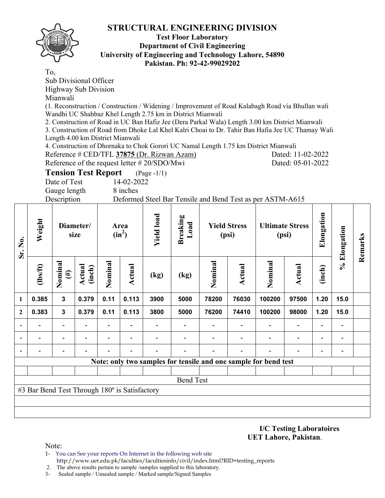

### **Test Floor Laboratory Department of Civil Engineering University of Engineering and Technology Lahore, 54890 Pakistan. Ph: 92-42-99029202**

To,

Sub Divisional Officer Highway Sub Division

Mianwali

(1. Reconstruction / Construction / Widening / Improvement of Road Kalabagh Road via Bhullan wali Wandhi UC Shahbaz Khel Length 2.75 km in District Mianwali

2. Construction of Road in UC Ban Hafiz Jee (Dera Parkal Wala) Length 3.00 km District Mianwali

3. Construction of Road from Dhoke Lal Khel Kalri Choai to Dr. Tahir Ban Hafia Jee UC Thamay Wali Length 4.00 km District Mianwali

4. Construction of Dhornaka to Chok Gorori UC Namal Length 1.75 km District Mianwali

Reference # CED/TFL 37875 (Dr. Rizwan Azam) Dated: 11-02-2022 Reference of the request letter # 20/SDO/Mwi Dated: 05-01-2022

**Tension Test Report** (Page -1/1)

Date of Test 14-02-2022 Gauge length 8 inches

Description Deformed Steel Bar Tensile and Bend Test as per ASTM-A615

| Sr. No.                  | Weight                                                          |                          | Diameter/<br>size                             |      | Area<br>$(in^2)$         | <b>Yield load</b>        | <b>Breaking</b><br>Load |               | <b>Yield Stress</b><br>(psi) |                          | <b>Ultimate Stress</b><br>(psi) | Elongation               | % Elongation             | Remarks |
|--------------------------|-----------------------------------------------------------------|--------------------------|-----------------------------------------------|------|--------------------------|--------------------------|-------------------------|---------------|------------------------------|--------------------------|---------------------------------|--------------------------|--------------------------|---------|
|                          | (1bs/ft)                                                        | Nominal<br>$(\#)$        | Nominal<br>Actual<br>Actual<br>(inch)<br>(kg) |      |                          | (kg)                     | Nominal                 | <b>Actual</b> | Nominal                      | <b>Actual</b>            | (inch)                          |                          |                          |         |
| 1                        | 0.385                                                           | $\mathbf{3}$             | 0.379                                         | 0.11 | 0.113                    | 3900                     | 5000                    | 78200         | 76030                        | 100200                   | 97500                           | 1.20                     | 15.0                     |         |
| $\overline{2}$           | 0.383                                                           | $\mathbf{3}$             | 0.379                                         | 0.11 | 0.113                    | 3800                     | 5000                    | 76200         | 74410                        | 100200                   | 98000                           | 1.20                     | 15.0                     |         |
|                          |                                                                 | $\overline{\phantom{0}}$ |                                               |      |                          |                          |                         |               |                              |                          |                                 | $\blacksquare$           |                          |         |
| $\overline{\phantom{a}}$ |                                                                 | $\blacksquare$           | $\blacksquare$                                |      | $\blacksquare$           |                          |                         |               |                              | $\blacksquare$           | $\blacksquare$                  | $\overline{\phantom{a}}$ | $\blacksquare$           |         |
|                          |                                                                 | $\overline{\phantom{0}}$ |                                               | -    | $\overline{\phantom{a}}$ | $\overline{\phantom{0}}$ |                         |               | $\overline{\phantom{0}}$     | $\overline{\phantom{0}}$ | $\overline{\phantom{0}}$        | $\blacksquare$           | $\overline{\phantom{0}}$ |         |
|                          | Note: only two samples for tensile and one sample for bend test |                          |                                               |      |                          |                          |                         |               |                              |                          |                                 |                          |                          |         |
|                          |                                                                 |                          |                                               |      |                          |                          |                         |               |                              |                          |                                 |                          |                          |         |
|                          |                                                                 |                          |                                               |      |                          |                          | <b>Bend Test</b>        |               |                              |                          |                                 |                          |                          |         |
|                          | #3 Bar Bend Test Through 180° is Satisfactory                   |                          |                                               |      |                          |                          |                         |               |                              |                          |                                 |                          |                          |         |
|                          |                                                                 |                          |                                               |      |                          |                          |                         |               |                              |                          |                                 |                          |                          |         |
|                          |                                                                 |                          |                                               |      |                          |                          |                         |               |                              |                          |                                 |                          |                          |         |

**I/C Testing Laboratoires UET Lahore, Pakistan**.

Note:

1- You can See your reports On Internet in the following web site http://www.uet.edu.pk/faculties/facultiesinfo/civil/index.html?RID=testing\_reports

2. The above results pertain to sample /samples supplied to this laboratory.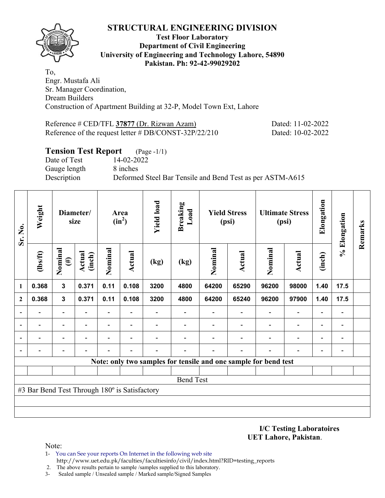

#### **Test Floor Laboratory Department of Civil Engineering University of Engineering and Technology Lahore, 54890 Pakistan. Ph: 92-42-99029202**

To, Engr. Mustafa Ali Sr. Manager Coordination, Dream Builders Construction of Apartment Building at 32-P, Model Town Ext, Lahore

Reference # CED/TFL 37877 (Dr. Rizwan Azam) Dated: 11-02-2022 Reference of the request letter # DB/CONST-32P/22/210 Dated: 10-02-2022

## **Tension Test Report** (Page -1/1) Date of Test 14-02-2022 Gauge length 8 inches Description Deformed Steel Bar Tensile and Bend Test as per ASTM-A615

| Sr. No.      | Weight                                        |                   | Diameter/<br>size       |                | Area<br>$(in^2)$ | <b>Yield load</b> | <b>Breaking</b><br>Load |                          | <b>Yield Stress</b><br>(psi)                                    |         | <b>Ultimate Stress</b><br>(psi) | Elongation               | % Elongation | Remarks |
|--------------|-----------------------------------------------|-------------------|-------------------------|----------------|------------------|-------------------|-------------------------|--------------------------|-----------------------------------------------------------------|---------|---------------------------------|--------------------------|--------------|---------|
|              | (1bs/ft)                                      | Nominal<br>$(\#)$ | <b>Actual</b><br>(inch) |                | Actual           | (kg)              | (kg)                    | Nominal<br><b>Actual</b> |                                                                 | Nominal | Actual                          | (inch)                   |              |         |
| 1            | 0.368                                         | $\mathbf{3}$      | 0.371                   | 0.11           | 0.108            | 3200              | 4800                    | 64200                    | 65290                                                           | 96200   | 98000                           | 1.40                     | 17.5         |         |
| $\mathbf{2}$ | 0.368                                         | $\mathbf{3}$      | 0.371                   | 0.11           | 0.108            | 3200              | 4800                    | 64200                    | 65240                                                           | 96200   | 97900                           | 1.40                     | 17.5         |         |
| ۰            |                                               |                   |                         | $\blacksquare$ |                  |                   |                         |                          |                                                                 |         | $\overline{\phantom{0}}$        | $\overline{a}$           |              |         |
| ۰            |                                               |                   |                         | $\blacksquare$ |                  |                   |                         |                          |                                                                 |         | $\overline{\phantom{0}}$        | $\overline{\phantom{0}}$ |              |         |
|              |                                               |                   |                         | -              | $\blacksquare$   |                   |                         |                          |                                                                 |         | $\overline{\phantom{0}}$        | ۰                        |              |         |
|              |                                               |                   |                         |                |                  |                   |                         |                          |                                                                 |         |                                 | $\blacksquare$           |              |         |
|              |                                               |                   |                         |                |                  |                   |                         |                          | Note: only two samples for tensile and one sample for bend test |         |                                 |                          |              |         |
|              |                                               |                   |                         |                |                  |                   |                         |                          |                                                                 |         |                                 |                          |              |         |
|              |                                               |                   |                         |                |                  |                   | <b>Bend Test</b>        |                          |                                                                 |         |                                 |                          |              |         |
|              | #3 Bar Bend Test Through 180° is Satisfactory |                   |                         |                |                  |                   |                         |                          |                                                                 |         |                                 |                          |              |         |
|              |                                               |                   |                         |                |                  |                   |                         |                          |                                                                 |         |                                 |                          |              |         |
|              |                                               |                   |                         |                |                  |                   |                         |                          |                                                                 |         |                                 |                          |              |         |

**I/C Testing Laboratoires UET Lahore, Pakistan**.

- 1- You can See your reports On Internet in the following web site http://www.uet.edu.pk/faculties/facultiesinfo/civil/index.html?RID=testing\_reports
- 2. The above results pertain to sample /samples supplied to this laboratory.
- 3- Sealed sample / Unsealed sample / Marked sample/Signed Samples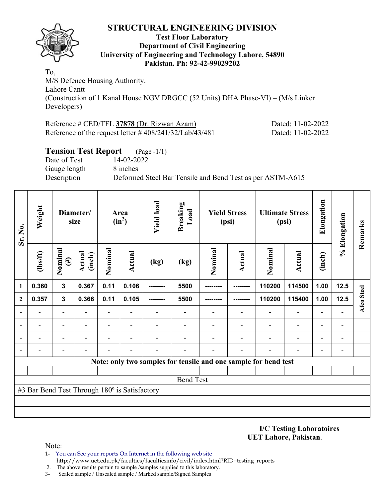

#### **Test Floor Laboratory Department of Civil Engineering University of Engineering and Technology Lahore, 54890 Pakistan. Ph: 92-42-99029202**

To, M/S Defence Housing Authority. Lahore Cantt (Construction of 1 Kanal House NGV DRGCC (52 Units) DHA Phase-VI) – (M/s Linker Developers)

Reference # CED/TFL **37878** (Dr. Rizwan Azam) Dated: 11-02-2022 Reference of the request letter # 408/241/32/Lab/43/481 Dated: 11-02-2022

## **Tension Test Report** (Page -1/1) Date of Test 14-02-2022 Gauge length 8 inches Description Deformed Steel Bar Tensile and Bend Test as per ASTM-A615

| Sr. No.      | Weight                                        |                          | Diameter/<br>size                                                                        |                          | Area<br>$(in^2)$ | <b>Yield load</b> | <b>Breaking</b><br>Load |                                                                 | <b>Yield Stress</b><br>(psi) |        | <b>Ultimate Stress</b><br>(psi) | Elongation               | % Elongation                 | Remarks    |
|--------------|-----------------------------------------------|--------------------------|------------------------------------------------------------------------------------------|--------------------------|------------------|-------------------|-------------------------|-----------------------------------------------------------------|------------------------------|--------|---------------------------------|--------------------------|------------------------------|------------|
|              | $\frac{2}{10}$                                | Nominal<br>$(\#)$        | Nominal<br>Nominal<br>Actual<br><b>Actual</b><br><b>Actual</b><br>(inch)<br>(kg)<br>(kg) |                          | Nominal          | <b>Actual</b>     | (inch)                  |                                                                 |                              |        |                                 |                          |                              |            |
| 1            | 0.360                                         | $\mathbf{3}$             | 0.367                                                                                    | 0.11                     | 0.106            |                   | 5500                    |                                                                 |                              | 110200 | 114500                          | 1.00                     | 12.5                         |            |
| $\mathbf{2}$ | 0.357                                         | $\mathbf{3}$             | 0.366<br>0.11<br>0.105                                                                   |                          |                  |                   | 5500                    |                                                                 |                              | 110200 | 115400                          | 1.00                     | 12.5                         | Afco Steel |
|              |                                               | $\overline{\phantom{0}}$ | $\blacksquare$                                                                           |                          |                  |                   |                         |                                                                 |                              |        | $\overline{\phantom{0}}$        | $\overline{a}$           |                              |            |
|              | $\blacksquare$                                | $\overline{\phantom{0}}$ |                                                                                          | Ξ.                       |                  |                   |                         |                                                                 |                              |        | $\overline{\phantom{0}}$        | $\overline{\phantom{0}}$ | $\blacksquare$               |            |
|              |                                               |                          |                                                                                          | $\overline{\phantom{0}}$ |                  |                   |                         |                                                                 |                              |        | $\overline{\phantom{0}}$        | $\overline{\phantom{0}}$ |                              |            |
|              |                                               |                          |                                                                                          |                          |                  |                   |                         |                                                                 |                              |        |                                 | $\overline{a}$           | $\qquad \qquad \blacksquare$ |            |
|              |                                               |                          |                                                                                          |                          |                  |                   |                         | Note: only two samples for tensile and one sample for bend test |                              |        |                                 |                          |                              |            |
|              |                                               |                          |                                                                                          |                          |                  |                   |                         |                                                                 |                              |        |                                 |                          |                              |            |
|              |                                               |                          |                                                                                          |                          |                  |                   | <b>Bend Test</b>        |                                                                 |                              |        |                                 |                          |                              |            |
|              | #3 Bar Bend Test Through 180° is Satisfactory |                          |                                                                                          |                          |                  |                   |                         |                                                                 |                              |        |                                 |                          |                              |            |
|              |                                               |                          |                                                                                          |                          |                  |                   |                         |                                                                 |                              |        |                                 |                          |                              |            |
|              |                                               |                          |                                                                                          |                          |                  |                   |                         |                                                                 |                              |        |                                 |                          |                              |            |

**I/C Testing Laboratoires UET Lahore, Pakistan**.

- 1- You can See your reports On Internet in the following web site http://www.uet.edu.pk/faculties/facultiesinfo/civil/index.html?RID=testing\_reports
- 2. The above results pertain to sample /samples supplied to this laboratory.
- 3- Sealed sample / Unsealed sample / Marked sample/Signed Samples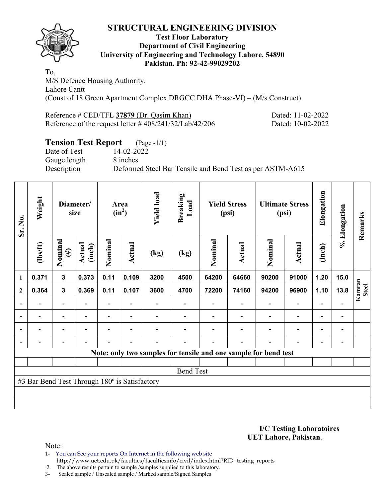

### **Test Floor Laboratory Department of Civil Engineering University of Engineering and Technology Lahore, 54890 Pakistan. Ph: 92-42-99029202**

To, M/S Defence Housing Authority. Lahore Cantt (Const of 18 Green Apartment Complex DRGCC DHA Phase-VI) – (M/s Construct)

Reference # CED/TFL 37879 (Dr. Qasim Khan) Dated: 11-02-2022 Reference of the request letter # 408/241/32/Lab/42/206 Dated: 10-02-2022

# **Tension Test Report** (Page -1/1)

Date of Test 14-02-2022 Gauge length 8 inches

Description Deformed Steel Bar Tensile and Bend Test as per ASTM-A615

| Sr. No.      | Weight                                        |                          | Diameter/<br>size      |                | Area<br>$(in^2)$         | <b>Yield load</b> | <b>Breaking</b><br>Load |         | <b>Yield Stress</b><br>(psi)                                    |                          | <b>Ultimate Stress</b><br>(psi) | Elongation               | % Elongation                 | Remarks |
|--------------|-----------------------------------------------|--------------------------|------------------------|----------------|--------------------------|-------------------|-------------------------|---------|-----------------------------------------------------------------|--------------------------|---------------------------------|--------------------------|------------------------------|---------|
|              | $\frac{2}{10}$                                | Nominal<br>$(\#)$        | Actual<br>(inch)       | Nominal        | Actual                   | (kg)              | (kg)                    | Nominal | Actual                                                          | Nominal                  | <b>Actual</b>                   | (inch)                   |                              |         |
| 1            | 0.371                                         | $\mathbf{3}$             | 0.373                  | 0.11           | 0.109                    | 3200              | 4500                    | 64200   | 64660                                                           | 90200                    | 91000                           | 1.20                     | 15.0                         |         |
| $\mathbf{2}$ | 0.364                                         | $\mathbf{3}$             | 0.369<br>0.11<br>0.107 |                | 3600                     | 4700              | 72200                   | 74160   | 94200                                                           | 96900                    | 1.10                            | 13.8                     | Kamran<br><b>Steel</b>       |         |
|              |                                               |                          |                        |                |                          |                   |                         |         |                                                                 |                          | $\overline{\phantom{0}}$        | $\overline{\phantom{0}}$ |                              |         |
|              | $\overline{\phantom{0}}$                      | $\overline{\phantom{a}}$ | $\blacksquare$         |                | $\overline{\phantom{a}}$ |                   |                         |         |                                                                 | $\overline{\phantom{0}}$ | $\overline{\phantom{a}}$        | -                        | $\qquad \qquad \blacksquare$ |         |
|              | $\overline{\phantom{0}}$                      | $\overline{\phantom{a}}$ |                        | $\blacksquare$ | $\overline{\phantom{0}}$ |                   |                         |         | $\overline{\phantom{0}}$                                        | $\overline{\phantom{0}}$ | $\overline{\phantom{a}}$        | Ξ.                       | $\overline{\phantom{a}}$     |         |
|              | $\overline{\phantom{0}}$                      | $\overline{\phantom{a}}$ |                        |                | $\overline{\phantom{0}}$ | -                 |                         |         | ۰                                                               | $\overline{\phantom{0}}$ | $\overline{\phantom{a}}$        | $\blacksquare$           | $\overline{\phantom{a}}$     |         |
|              |                                               |                          |                        |                |                          |                   |                         |         | Note: only two samples for tensile and one sample for bend test |                          |                                 |                          |                              |         |
|              |                                               |                          |                        |                |                          |                   |                         |         |                                                                 |                          |                                 |                          |                              |         |
|              |                                               |                          |                        |                |                          |                   | <b>Bend Test</b>        |         |                                                                 |                          |                                 |                          |                              |         |
|              | #3 Bar Bend Test Through 180° is Satisfactory |                          |                        |                |                          |                   |                         |         |                                                                 |                          |                                 |                          |                              |         |
|              |                                               |                          |                        |                |                          |                   |                         |         |                                                                 |                          |                                 |                          |                              |         |
|              |                                               |                          |                        |                |                          |                   |                         |         |                                                                 |                          |                                 |                          |                              |         |

**I/C Testing Laboratoires UET Lahore, Pakistan**.

Note:

1- You can See your reports On Internet in the following web site http://www.uet.edu.pk/faculties/facultiesinfo/civil/index.html?RID=testing\_reports

2. The above results pertain to sample /samples supplied to this laboratory.